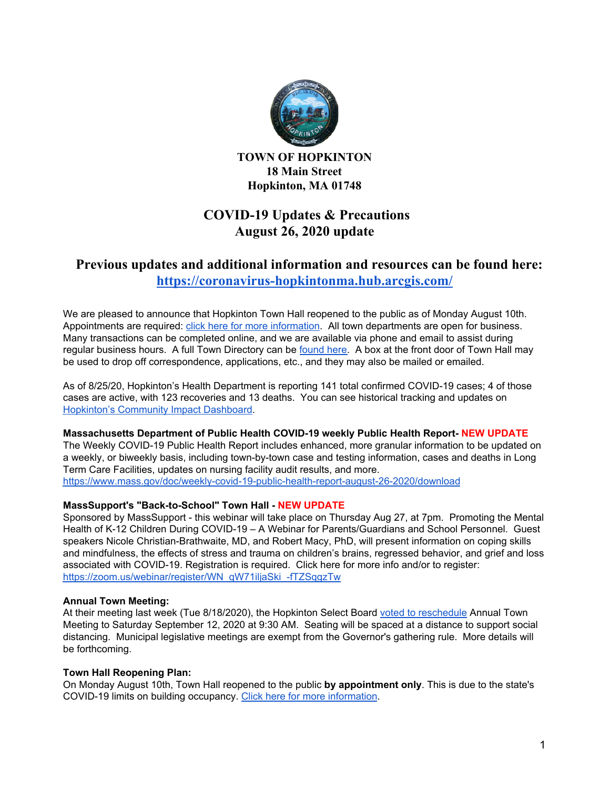

**TOWN OF HOPKINTON 18 Main Street Hopkinton, MA 01748**

# **COVID-19 Updates & Precautions August 26, 2020 update**

# **Previous updates and additional information and resources can be found here: <https://coronavirus-hopkintonma.hub.arcgis.com/>**

We are pleased to announce that Hopkinton Town Hall reopened to the public as of Monday August 10th. Appointments are required: click here for more [information](https://www.hopkintonma.gov/Hopkinton%20Town%20Hall%20Reopening%20Plan%208-7-2020.pdf). All town departments are open for business. Many transactions can be completed online, and we are available via phone and email to assist during regular business hours. A full Town Directory can be [found](https://www.hopkintonma.gov/departments/index.php) here. A box at the front door of Town Hall may be used to drop off correspondence, applications, etc., and they may also be mailed or emailed.

As of 8/25/20, Hopkinton's Health Department is reporting 141 total confirmed COVID-19 cases; 4 of those cases are active, with 123 recoveries and 13 deaths. You can see historical tracking and updates on [Hopkinton's](https://hopkintonma.maps.arcgis.com/apps/opsdashboard/index.html#/01aa244939e540aeb2991ec71392d431) Community Impact Dashboard.

## **Massachusetts Department of Public Health COVID-19 weekly Public Health Report- NEW UPDATE**

The Weekly COVID-19 Public Health Report includes enhanced, more granular information to be updated on a weekly, or biweekly basis, including town-by-town case and testing information, cases and deaths in Long Term Care Facilities, updates on nursing facility audit results, and more. <https://www.mass.gov/doc/weekly-covid-19-public-health-report-august-26-2020/download>

#### **MassSupport's "Back-to-School" Town Hall - NEW UPDATE**

Sponsored by MassSupport - this webinar will take place on Thursday Aug 27, at 7pm. Promoting the Mental Health of K-12 Children During COVID-19 – A Webinar for Parents/Guardians and School Personnel. Guest speakers Nicole Christian-Brathwaite, MD, and Robert Macy, PhD, will present information on coping skills and mindfulness, the effects of stress and trauma on children's brains, regressed behavior, and grief and loss associated with COVID-19. Registration is required. Click here for more info and/or to register: [https://zoom.us/webinar/register/WN\\_qW71iljaSki\\_-fTZSqgzTw](https://zoom.us/webinar/register/WN_qW71iljaSki_-fTZSqgzTw)

#### **Annual Town Meeting:**

At their meeting last week (Tue 8/18/2020), the Hopkinton Select Board voted to [reschedule](https://groups.google.com/a/hopkintonma.gov/forum/#!topic/bosagendas/aRYGIy5_ATc) Annual Town Meeting to Saturday September 12, 2020 at 9:30 AM. Seating will be spaced at a distance to support social distancing. Municipal legislative meetings are exempt from the Governor's gathering rule. More details will be forthcoming.

## **Town Hall Reopening Plan:**

On Monday August 10th, Town Hall reopened to the public **by appointment only**. This is due to the state's COVID-19 limits on building occupancy. Click here for more [information.](https://www.hopkintonma.gov/Hopkinton%20Town%20Hall%20Reopening%20Plan%208-7-2020.pdf)